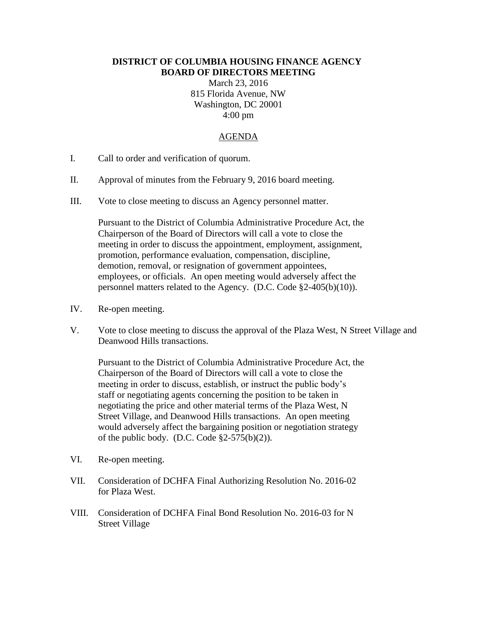## **DISTRICT OF COLUMBIA HOUSING FINANCE AGENCY BOARD OF DIRECTORS MEETING**

March 23, 2016 815 Florida Avenue, NW Washington, DC 20001 4:00 pm

## AGENDA

- I. Call to order and verification of quorum.
- II. Approval of minutes from the February 9, 2016 board meeting.
- III. Vote to close meeting to discuss an Agency personnel matter.

Pursuant to the District of Columbia Administrative Procedure Act, the Chairperson of the Board of Directors will call a vote to close the meeting in order to discuss the appointment, employment, assignment, promotion, performance evaluation, compensation, discipline, demotion, removal, or resignation of government appointees, employees, or officials. An open meeting would adversely affect the personnel matters related to the Agency. (D.C. Code §2-405(b)(10)).

- IV. Re-open meeting.
- V. Vote to close meeting to discuss the approval of the Plaza West, N Street Village and Deanwood Hills transactions.

Pursuant to the District of Columbia Administrative Procedure Act, the Chairperson of the Board of Directors will call a vote to close the meeting in order to discuss, establish, or instruct the public body's staff or negotiating agents concerning the position to be taken in negotiating the price and other material terms of the Plaza West, N Street Village, and Deanwood Hills transactions. An open meeting would adversely affect the bargaining position or negotiation strategy of the public body. (D.C. Code  $\S2-575(b)(2)$ ).

- VI. Re-open meeting.
- VII. Consideration of DCHFA Final Authorizing Resolution No. 2016-02 for Plaza West.
- VIII. Consideration of DCHFA Final Bond Resolution No. 2016-03 for N Street Village